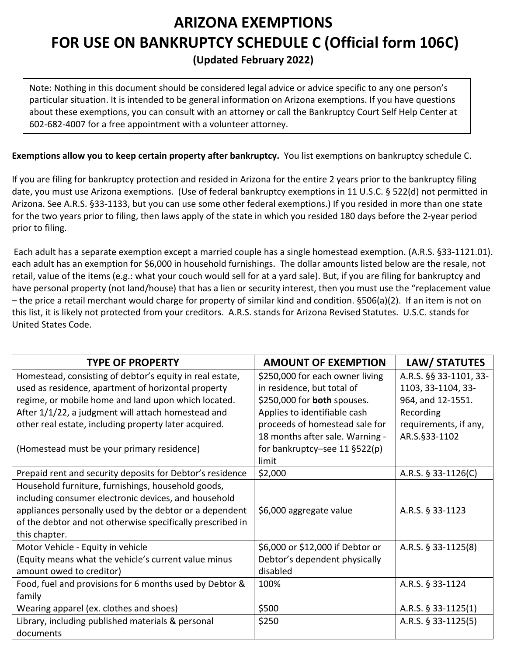## **ARIZONA EXEMPTIONS FOR USE ON BANKRUPTCY SCHEDULE C (Official form 106C) (Updated February 2022)**

Note: Nothing in this document should be considered legal advice or advice specific to any one person's particular situation. It is intended to be general information on Arizona exemptions. If you have questions about these exemptions, you can consult with an attorney or call the Bankruptcy Court Self Help Center at 602-682-4007 for a free appointment with a volunteer attorney.

## **Exemptions allow you to keep certain property after bankruptcy.** You list exemptions on bankruptcy schedule C.

If you are filing for bankruptcy protection and resided in Arizona for the entire 2 years prior to the bankruptcy filing date, you must use Arizona exemptions. (Use of federal bankruptcy exemptions in 11 U.S.C. § 522(d) not permitted in Arizona. See A.R.S. §33-1133, but you can use some other federal exemptions.) If you resided in more than one state for the two years prior to filing, then laws apply of the state in which you resided 180 days before the 2-year period prior to filing.

Each adult has a separate exemption except a married couple has a single homestead exemption. (A.R.S. §33-1121.01). each adult has an exemption for \$6,000 in household furnishings. The dollar amounts listed below are the resale, not retail, value of the items (e.g.: what your couch would sell for at a yard sale). But, if you are filing for bankruptcy and have personal property (not land/house) that has a lien or security interest, then you must use the "replacement value – the price a retail merchant would charge for property of similar kind and condition. §506(a)(2). If an item is not on this list, it is likely not protected from your creditors. A.R.S. stands for Arizona Revised Statutes. U.S.C. stands for United States Code.

| <b>TYPE OF PROPERTY</b>                                    | <b>AMOUNT OF EXEMPTION</b>         | LAW/ STATUTES          |
|------------------------------------------------------------|------------------------------------|------------------------|
| Homestead, consisting of debtor's equity in real estate,   | \$250,000 for each owner living    | A.R.S. §§ 33-1101, 33- |
| used as residence, apartment of horizontal property        | in residence, but total of         | 1103, 33-1104, 33-     |
| regime, or mobile home and land upon which located.        | \$250,000 for <b>both</b> spouses. | 964, and 12-1551.      |
| After 1/1/22, a judgment will attach homestead and         | Applies to identifiable cash       | Recording              |
| other real estate, including property later acquired.      | proceeds of homestead sale for     | requirements, if any,  |
|                                                            | 18 months after sale. Warning -    | AR.S.§33-1102          |
| (Homestead must be your primary residence)                 | for bankruptcy-see 11 $\S$ 522(p)  |                        |
|                                                            | limit                              |                        |
| Prepaid rent and security deposits for Debtor's residence  | \$2,000                            | A.R.S. $§$ 33-1126(C)  |
| Household furniture, furnishings, household goods,         |                                    |                        |
| including consumer electronic devices, and household       |                                    |                        |
| appliances personally used by the debtor or a dependent    | \$6,000 aggregate value            | A.R.S. § 33-1123       |
| of the debtor and not otherwise specifically prescribed in |                                    |                        |
| this chapter.                                              |                                    |                        |
| Motor Vehicle - Equity in vehicle                          | \$6,000 or \$12,000 if Debtor or   | A.R.S. § 33-1125(8)    |
| (Equity means what the vehicle's current value minus       | Debtor's dependent physically      |                        |
| amount owed to creditor)                                   | disabled                           |                        |
| Food, fuel and provisions for 6 months used by Debtor &    | 100%                               | A.R.S. § 33-1124       |
| family                                                     |                                    |                        |
| Wearing apparel (ex. clothes and shoes)                    | \$500                              | A.R.S. $§$ 33-1125(1)  |
| Library, including published materials & personal          | \$250                              | A.R.S. $\S$ 33-1125(5) |
| documents                                                  |                                    |                        |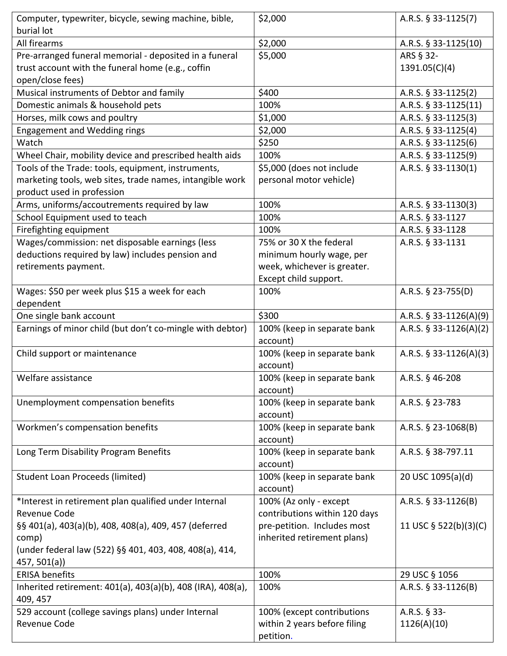| Computer, typewriter, bicycle, sewing machine, bible,                                  | \$2,000                                 | A.R.S. § 33-1125(7)      |
|----------------------------------------------------------------------------------------|-----------------------------------------|--------------------------|
| burial lot                                                                             |                                         |                          |
| All firearms                                                                           | \$2,000                                 | A.R.S. § 33-1125(10)     |
| Pre-arranged funeral memorial - deposited in a funeral                                 | \$5,000                                 | ARS § 32-                |
| trust account with the funeral home (e.g., coffin<br>open/close fees)                  |                                         | 1391.05(C)(4)            |
| Musical instruments of Debtor and family                                               | \$400                                   | A.R.S. § 33-1125(2)      |
| Domestic animals & household pets                                                      | 100%                                    | A.R.S. § 33-1125(11)     |
| Horses, milk cows and poultry                                                          | \$1,000                                 | A.R.S. § 33-1125(3)      |
| <b>Engagement and Wedding rings</b>                                                    | \$2,000                                 | A.R.S. § 33-1125(4)      |
| Watch                                                                                  | \$250                                   | A.R.S. § 33-1125(6)      |
| Wheel Chair, mobility device and prescribed health aids                                | 100%                                    | A.R.S. § 33-1125(9)      |
| Tools of the Trade: tools, equipment, instruments,                                     | \$5,000 (does not include               | A.R.S. § 33-1130(1)      |
| marketing tools, web sites, trade names, intangible work<br>product used in profession | personal motor vehicle)                 |                          |
| Arms, uniforms/accoutrements required by law                                           | 100%                                    | A.R.S. § 33-1130(3)      |
| School Equipment used to teach                                                         | 100%                                    | A.R.S. § 33-1127         |
| Firefighting equipment                                                                 | 100%                                    | A.R.S. § 33-1128         |
| Wages/commission: net disposable earnings (less                                        | 75% or 30 X the federal                 | A.R.S. § 33-1131         |
| deductions required by law) includes pension and                                       | minimum hourly wage, per                |                          |
| retirements payment.                                                                   | week, whichever is greater.             |                          |
|                                                                                        | Except child support.                   |                          |
| Wages: \$50 per week plus \$15 a week for each                                         | 100%                                    | A.R.S. § 23-755(D)       |
| dependent                                                                              | \$300                                   |                          |
| One single bank account                                                                |                                         | A.R.S. $§$ 33-1126(A)(9) |
| Earnings of minor child (but don't co-mingle with debtor)                              | 100% (keep in separate bank<br>account) | A.R.S. $§$ 33-1126(A)(2) |
| Child support or maintenance                                                           | 100% (keep in separate bank             | A.R.S. $§$ 33-1126(A)(3) |
|                                                                                        | account)                                |                          |
| Welfare assistance                                                                     | 100% (keep in separate bank             | A.R.S. § 46-208          |
|                                                                                        | account)                                |                          |
| Unemployment compensation benefits                                                     | 100% (keep in separate bank             | A.R.S. § 23-783          |
|                                                                                        | account)                                |                          |
| Workmen's compensation benefits                                                        | 100% (keep in separate bank             | A.R.S. § 23-1068(B)      |
|                                                                                        | account)                                |                          |
| Long Term Disability Program Benefits                                                  | 100% (keep in separate bank<br>account) | A.R.S. § 38-797.11       |
| <b>Student Loan Proceeds (limited)</b>                                                 | 100% (keep in separate bank             | 20 USC 1095(a)(d)        |
|                                                                                        | account)                                |                          |
| *Interest in retirement plan qualified under Internal                                  | 100% (Az only - except                  | A.R.S. § 33-1126(B)      |
| Revenue Code                                                                           | contributions within 120 days           |                          |
| §§ 401(a), 403(a)(b), 408, 408(a), 409, 457 (deferred                                  | pre-petition. Includes most             | 11 USC § 522(b)(3)(C)    |
| comp)                                                                                  | inherited retirement plans)             |                          |
| (under federal law (522) §§ 401, 403, 408, 408(a), 414,                                |                                         |                          |
| 457, 501(a)                                                                            |                                         |                          |
| <b>ERISA benefits</b>                                                                  | 100%                                    | 29 USC § 1056            |
| Inherited retirement: 401(a), 403(a)(b), 408 (IRA), 408(a),                            | 100%                                    | A.R.S. § 33-1126(B)      |
| 409, 457                                                                               |                                         |                          |
| 529 account (college savings plans) under Internal                                     | 100% (except contributions              | A.R.S. § 33-             |
| Revenue Code                                                                           | within 2 years before filing            | 1126(A)(10)              |
|                                                                                        | petition.                               |                          |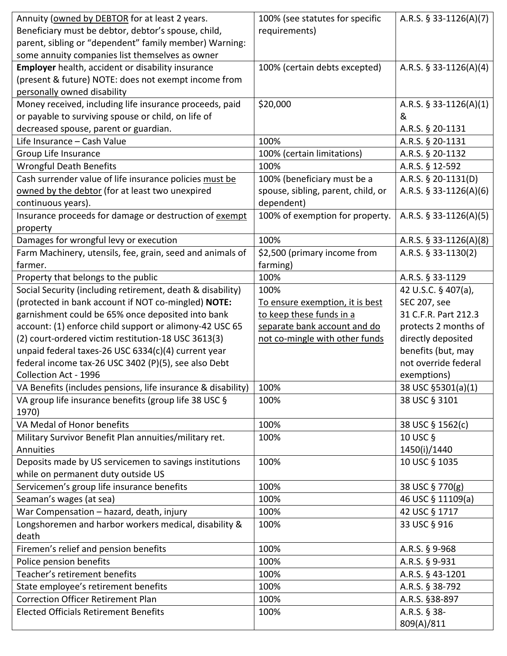| Annuity (owned by DEBTOR for at least 2 years.               | 100% (see statutes for specific    | A.R.S. $§$ 33-1126(A)(7) |
|--------------------------------------------------------------|------------------------------------|--------------------------|
| Beneficiary must be debtor, debtor's spouse, child,          | requirements)                      |                          |
| parent, sibling or "dependent" family member) Warning:       |                                    |                          |
| some annuity companies list themselves as owner              |                                    |                          |
| Employer health, accident or disability insurance            | 100% (certain debts excepted)      | A.R.S. $$33-1126(A)(4)$  |
| (present & future) NOTE: does not exempt income from         |                                    |                          |
| personally owned disability                                  |                                    |                          |
| Money received, including life insurance proceeds, paid      | \$20,000                           | A.R.S. $$33-1126(A)(1)$  |
| or payable to surviving spouse or child, on life of          |                                    | &                        |
| decreased spouse, parent or guardian.                        |                                    | A.R.S. § 20-1131         |
| Life Insurance - Cash Value                                  | 100%                               | A.R.S. § 20-1131         |
| Group Life Insurance                                         | 100% (certain limitations)         | A.R.S. § 20-1132         |
| <b>Wrongful Death Benefits</b>                               | 100%                               | A.R.S. § 12-592          |
| Cash surrender value of life insurance policies must be      | 100% (beneficiary must be a        | A.R.S. § 20-1131(D)      |
| owned by the debtor (for at least two unexpired              | spouse, sibling, parent, child, or | A.R.S. § 33-1126(A)(6)   |
| continuous years).                                           | dependent)                         |                          |
| Insurance proceeds for damage or destruction of exempt       | 100% of exemption for property.    | A.R.S. § 33-1126(A)(5)   |
| property                                                     |                                    |                          |
| Damages for wrongful levy or execution                       | 100%                               | A.R.S. § 33-1126(A)(8)   |
| Farm Machinery, utensils, fee, grain, seed and animals of    | \$2,500 (primary income from       | A.R.S. § 33-1130(2)      |
| farmer.                                                      | farming)                           |                          |
| Property that belongs to the public                          | 100%                               | A.R.S. § 33-1129         |
| Social Security (including retirement, death & disability)   | 100%                               | 42 U.S.C. § 407(a),      |
| (protected in bank account if NOT co-mingled) NOTE:          | To ensure exemption, it is best    | SEC 207, see             |
| garnishment could be 65% once deposited into bank            | to keep these funds in a           | 31 C.F.R. Part 212.3     |
| account: (1) enforce child support or alimony-42 USC 65      | separate bank account and do       | protects 2 months of     |
| (2) court-ordered victim restitution-18 USC 3613(3)          | not co-mingle with other funds     | directly deposited       |
| unpaid federal taxes-26 USC 6334(c)(4) current year          |                                    | benefits (but, may       |
| federal income tax-26 USC 3402 (P)(5), see also Debt         |                                    | not override federal     |
| Collection Act - 1996                                        |                                    | exemptions)              |
| VA Benefits (includes pensions, life insurance & disability) | 100%                               | 38 USC §5301(a)(1)       |
| VA group life insurance benefits (group life 38 USC §        | 100%                               | 38 USC § 3101            |
| 1970)                                                        |                                    |                          |
| VA Medal of Honor benefits                                   | 100%                               | 38 USC § 1562(c)         |
| Military Survivor Benefit Plan annuities/military ret.       | 100%                               | 10 USC §                 |
| Annuities                                                    |                                    | 1450(i)/1440             |
| Deposits made by US servicemen to savings institutions       | 100%                               | 10 USC § 1035            |
| while on permanent duty outside US                           |                                    |                          |
| Servicemen's group life insurance benefits                   | 100%                               | 38 USC § 770(g)          |
| Seaman's wages (at sea)                                      | 100%                               | 46 USC § 11109(a)        |
| War Compensation - hazard, death, injury                     | 100%                               | 42 USC § 1717            |
| Longshoremen and harbor workers medical, disability &        | 100%                               | 33 USC § 916             |
| death                                                        |                                    |                          |
| Firemen's relief and pension benefits                        | 100%                               | A.R.S. § 9-968           |
| Police pension benefits                                      | 100%                               | A.R.S. § 9-931           |
| Teacher's retirement benefits                                | 100%                               | A.R.S. § 43-1201         |
| State employee's retirement benefits                         | 100%                               | A.R.S. § 38-792          |
| <b>Correction Officer Retirement Plan</b>                    | 100%                               | A.R.S. §38-897           |
| <b>Elected Officials Retirement Benefits</b>                 | 100%                               | A.R.S. § 38-             |
|                                                              |                                    | 809(A)/811               |